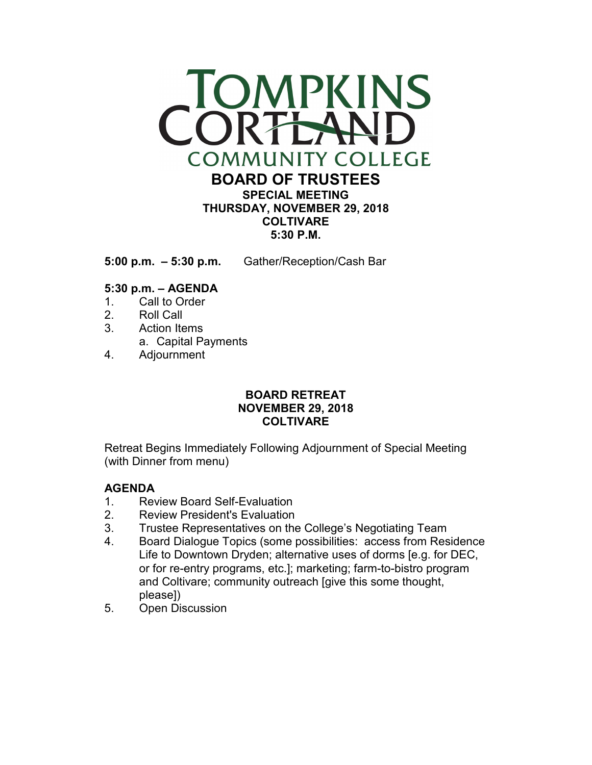

**5:00 p.m. – 5:30 p.m.** Gather/Reception/Cash Bar

## **5:30 p.m. – AGENDA**

- 1. Call to Order
- 2. Roll Call
- 3. Action Items
	- a. Capital Payments
- 4. Adjournment

# **BOARD RETREAT NOVEMBER 29, 2018 COLTIVARE**

Retreat Begins Immediately Following Adjournment of Special Meeting (with Dinner from menu)

## **AGENDA**

- 1. Review Board Self-Evaluation
- 2. Review President's Evaluation
- 3. Trustee Representatives on the College's Negotiating Team
- 4. Board Dialogue Topics (some possibilities: access from Residence Life to Downtown Dryden; alternative uses of dorms [e.g. for DEC, or for re-entry programs, etc.]; marketing; farm-to-bistro program and Coltivare; community outreach [give this some thought, please])
- 5. Open Discussion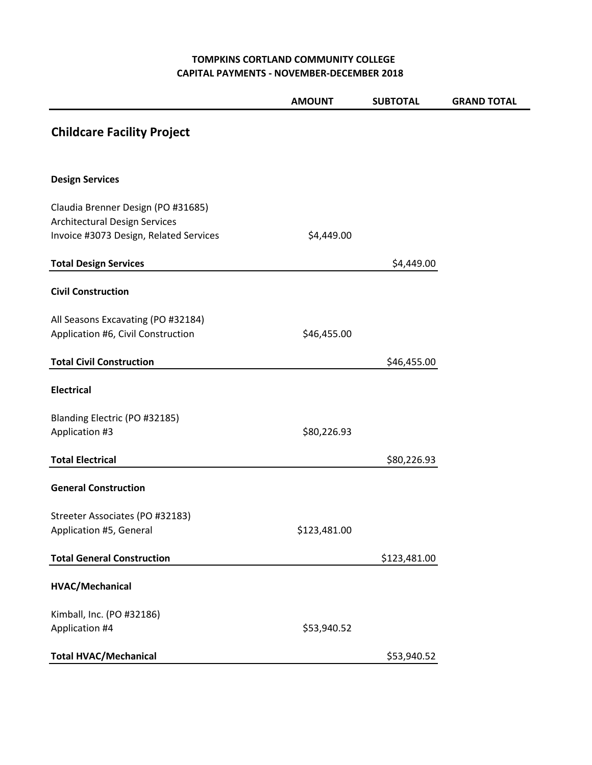#### **TOMPKINS CORTLAND COMMUNITY COLLEGE CAPITAL PAYMENTS - NOVEMBER-DECEMBER 2018**

|                                                                                                               | <b>AMOUNT</b> | <b>SUBTOTAL</b> | <b>GRAND TOTAL</b> |
|---------------------------------------------------------------------------------------------------------------|---------------|-----------------|--------------------|
| <b>Childcare Facility Project</b>                                                                             |               |                 |                    |
| <b>Design Services</b>                                                                                        |               |                 |                    |
| Claudia Brenner Design (PO #31685)<br>Architectural Design Services<br>Invoice #3073 Design, Related Services | \$4,449.00    |                 |                    |
| <b>Total Design Services</b>                                                                                  |               | \$4,449.00      |                    |
| <b>Civil Construction</b>                                                                                     |               |                 |                    |
| All Seasons Excavating (PO #32184)<br>Application #6, Civil Construction                                      | \$46,455.00   |                 |                    |
| <b>Total Civil Construction</b>                                                                               |               | \$46,455.00     |                    |
| <b>Electrical</b>                                                                                             |               |                 |                    |
| Blanding Electric (PO #32185)<br>Application #3                                                               | \$80,226.93   |                 |                    |
| <b>Total Electrical</b>                                                                                       |               | \$80,226.93     |                    |
| <b>General Construction</b>                                                                                   |               |                 |                    |
| Streeter Associates (PO #32183)<br>Application #5, General                                                    | \$123,481.00  |                 |                    |
| <b>Total General Construction</b>                                                                             |               | \$123,481.00    |                    |
| HVAC/Mechanical                                                                                               |               |                 |                    |
| Kimball, Inc. (PO #32186)<br>Application #4                                                                   | \$53,940.52   |                 |                    |
| <b>Total HVAC/Mechanical</b>                                                                                  |               | \$53,940.52     |                    |